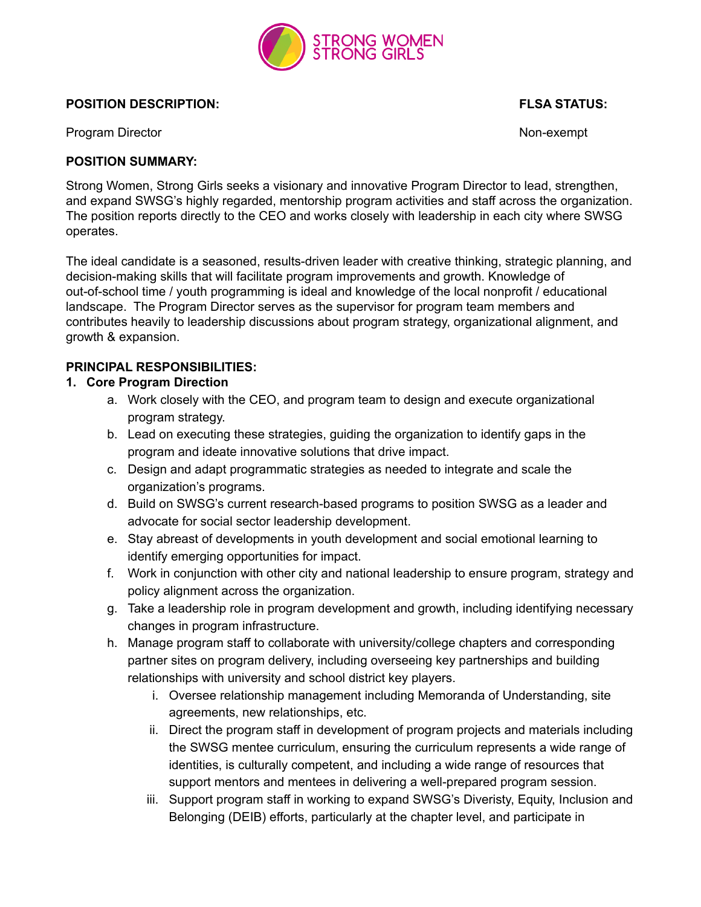

#### **POSITION DESCRIPTION: FLSA STATUS:**

Program Director **Non-exempt** 2001 120 and 2008 120 and 2008 120 and 2008 120 and 2008 120 and 2008 120 and 2008 120 and 2008 120 and 2008 120 and 2008 120 and 2008 120 and 2008 120 and 2008 120 and 2008 120 and 2008 120 a

#### **POSITION SUMMARY:**

Strong Women, Strong Girls seeks a visionary and innovative Program Director to lead, strengthen, and expand SWSG's highly regarded, mentorship program activities and staff across the organization. The position reports directly to the CEO and works closely with leadership in each city where SWSG operates.

The ideal candidate is a seasoned, results-driven leader with creative thinking, strategic planning, and decision-making skills that will facilitate program improvements and growth. Knowledge of out-of-school time / youth programming is ideal and knowledge of the local nonprofit / educational landscape. The Program Director serves as the supervisor for program team members and contributes heavily to leadership discussions about program strategy, organizational alignment, and growth & expansion.

### **PRINCIPAL RESPONSIBILITIES:**

### **1. Core Program Direction**

- a. Work closely with the CEO, and program team to design and execute organizational program strategy.
- b. Lead on executing these strategies, guiding the organization to identify gaps in the program and ideate innovative solutions that drive impact.
- c. Design and adapt programmatic strategies as needed to integrate and scale the organization's programs.
- d. Build on SWSG's current research-based programs to position SWSG as a leader and advocate for social sector leadership development.
- e. Stay abreast of developments in youth development and social emotional learning to identify emerging opportunities for impact.
- f. Work in conjunction with other city and national leadership to ensure program, strategy and policy alignment across the organization.
- g. Take a leadership role in program development and growth, including identifying necessary changes in program infrastructure.
- h. Manage program staff to collaborate with university/college chapters and corresponding partner sites on program delivery, including overseeing key partnerships and building relationships with university and school district key players.
	- i. Oversee relationship management including Memoranda of Understanding, site agreements, new relationships, etc.
	- ii. Direct the program staff in development of program projects and materials including the SWSG mentee curriculum, ensuring the curriculum represents a wide range of identities, is culturally competent, and including a wide range of resources that support mentors and mentees in delivering a well-prepared program session.
	- iii. Support program staff in working to expand SWSG's Diveristy, Equity, Inclusion and Belonging (DEIB) efforts, particularly at the chapter level, and participate in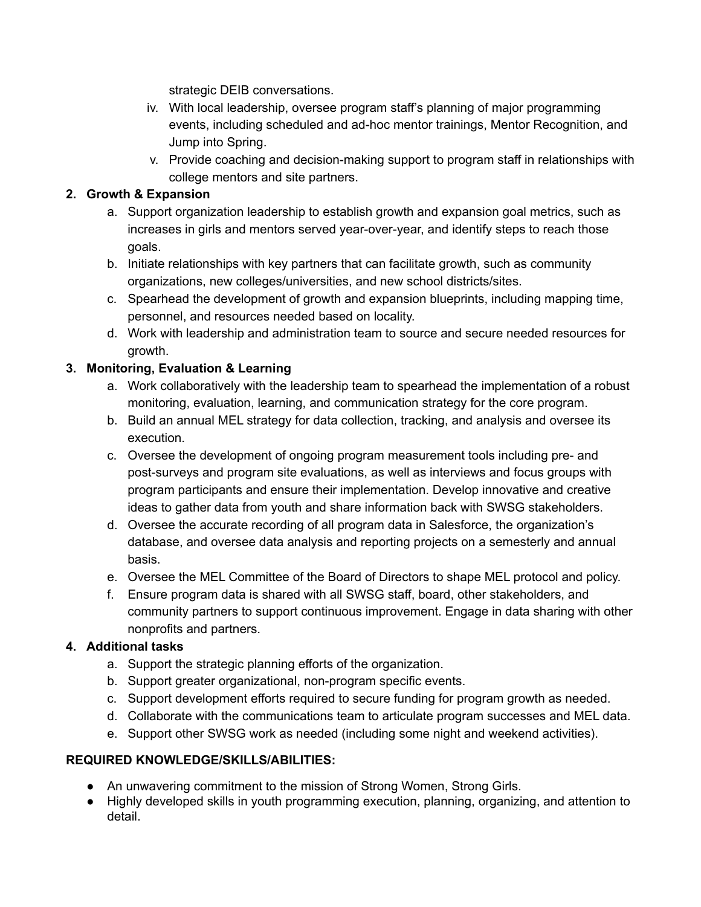strategic DEIB conversations.

- iv. With local leadership, oversee program staff's planning of major programming events, including scheduled and ad-hoc mentor trainings, Mentor Recognition, and Jump into Spring.
- v. Provide coaching and decision-making support to program staff in relationships with college mentors and site partners.

## **2. Growth & Expansion**

- a. Support organization leadership to establish growth and expansion goal metrics, such as increases in girls and mentors served year-over-year, and identify steps to reach those goals.
- b. Initiate relationships with key partners that can facilitate growth, such as community organizations, new colleges/universities, and new school districts/sites.
- c. Spearhead the development of growth and expansion blueprints, including mapping time, personnel, and resources needed based on locality.
- d. Work with leadership and administration team to source and secure needed resources for growth.

# **3. Monitoring, Evaluation & Learning**

- a. Work collaboratively with the leadership team to spearhead the implementation of a robust monitoring, evaluation, learning, and communication strategy for the core program.
- b. Build an annual MEL strategy for data collection, tracking, and analysis and oversee its execution.
- c. Oversee the development of ongoing program measurement tools including pre- and post-surveys and program site evaluations, as well as interviews and focus groups with program participants and ensure their implementation. Develop innovative and creative ideas to gather data from youth and share information back with SWSG stakeholders.
- d. Oversee the accurate recording of all program data in Salesforce, the organization's database, and oversee data analysis and reporting projects on a semesterly and annual basis.
- e. Oversee the MEL Committee of the Board of Directors to shape MEL protocol and policy.
- f. Ensure program data is shared with all SWSG staff, board, other stakeholders, and community partners to support continuous improvement. Engage in data sharing with other nonprofits and partners.

# **4. Additional tasks**

- a. Support the strategic planning efforts of the organization.
- b. Support greater organizational, non-program specific events.
- c. Support development efforts required to secure funding for program growth as needed.
- d. Collaborate with the communications team to articulate program successes and MEL data.
- e. Support other SWSG work as needed (including some night and weekend activities).

## **REQUIRED KNOWLEDGE/SKILLS/ABILITIES:**

- An unwavering commitment to the mission of Strong Women, Strong Girls.
- Highly developed skills in youth programming execution, planning, organizing, and attention to detail.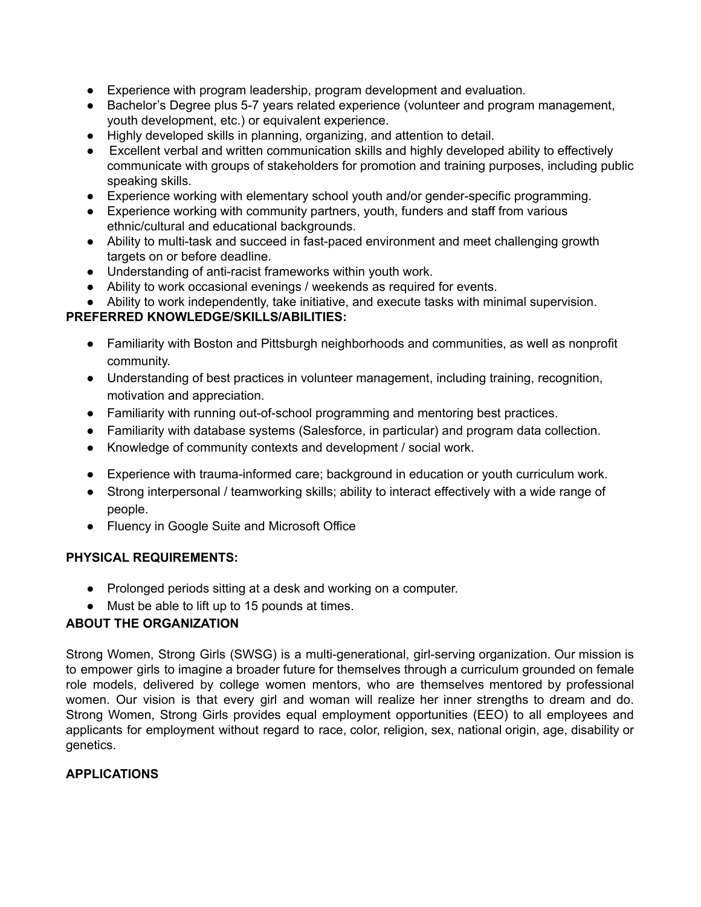- Experience with program leadership, program development and evaluation.
- Bachelor's Degree plus 5-7 years related experience (volunteer and program management, youth development, etc.) or equivalent experience.
- Highly developed skills in planning, organizing, and attention to detail.
- Excellent verbal and written communication skills and highly developed ability to effectively communicate with groups of stakeholders for promotion and training purposes, including public speaking skills.
- Experience working with elementary school youth and/or gender-specific programming.
- Experience working with community partners, youth, funders and staff from various ethnic/cultural and educational backgrounds.
- Ability to multi-task and succeed in fast-paced environment and meet challenging growth targets on or before deadline.
- Understanding of anti-racist frameworks within youth work.
- Ability to work occasional evenings / weekends as required for events.
- Ability to work independently, take initiative, and execute tasks with minimal supervision.

## **PREFERRED KNOWLEDGE/SKILLS/ABILITIES:**

- Familiarity with Boston and Pittsburgh neighborhoods and communities, as well as nonprofit community.
- Understanding of best practices in volunteer management, including training, recognition, motivation and appreciation.
- Familiarity with running out-of-school programming and mentoring best practices.
- Familiarity with database systems (Salesforce, in particular) and program data collection.
- Knowledge of community contexts and development / social work.
- Experience with trauma-informed care; background in education or youth curriculum work.
- Strong interpersonal / teamworking skills; ability to interact effectively with a wide range of people.
- Fluency in Google Suite and Microsoft Office

## **PHYSICAL REQUIREMENTS:**

- Prolonged periods sitting at a desk and working on a computer.
- Must be able to lift up to 15 pounds at times.

## **ABOUT THE ORGANIZATION**

Strong Women, Strong Girls (SWSG) is a multi-generational, girl-serving organization. Our mission is to empower girls to imagine a broader future for themselves through a curriculum grounded on female role models, delivered by college women mentors, who are themselves mentored by professional women. Our vision is that every girl and woman will realize her inner strengths to dream and do. Strong Women, Strong Girls provides equal employment opportunities (EEO) to all employees and applicants for employment without regard to race, color, religion, sex, national origin, age, disability or genetics.

#### **APPLICATIONS**